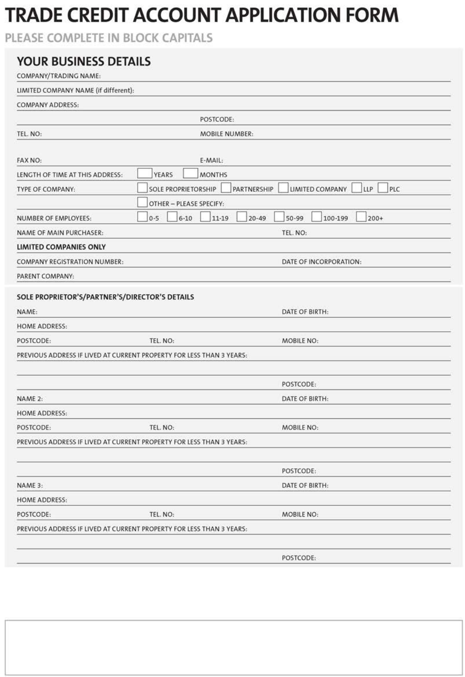# **TRADE CREDIT ACCOUNT APPLICATION FORM**

PLEASE COMPLETE IN BLOCK CAPITALS

| <b>YOUR BUSINESS DETAILS</b><br>COMPANY/TRADING NAME: |                                                                            |
|-------------------------------------------------------|----------------------------------------------------------------------------|
| LIMITED COMPANY NAME (if different):                  |                                                                            |
| <b>COMPANY ADDRESS:</b>                               |                                                                            |
|                                                       | POSTCODE:                                                                  |
| TEL. NO:                                              | MOBILE NUMBER:                                                             |
|                                                       |                                                                            |
| FAX NO:                                               | E-MAIL:                                                                    |
| LENGTH OF TIME AT THIS ADDRESS:                       | YEARS<br><b>MONTHS</b>                                                     |
| TYPE OF COMPANY:                                      | PLC<br><b>SOLE PROPRIETORSHIP</b><br>PARTNERSHIP<br>LLP<br>LIMITED COMPANY |
|                                                       | OTHER - PLEASE SPECIFY:                                                    |
| NUMBER OF EMPLOYEES:                                  | $0 - 5$<br>$20 - 49$<br>$50 - 99$<br>100-199<br>200+<br>$6 - 10$<br>11-19  |
| NAME OF MAIN PURCHASER:                               | TEL. NO:                                                                   |
| LIMITED COMPANIES ONLY                                |                                                                            |
| <b>COMPANY REGISTRATION NUMBER:</b>                   | DATE OF INCORPORATION:                                                     |
| PARENT COMPANY:                                       |                                                                            |
| SOLE PROPRIETOR'S/PARTNER'S/DIRECTOR'S DETAILS        |                                                                            |
| NAME:                                                 | DATE OF BIRTH:                                                             |
| <b>HOME ADDRESS:</b>                                  |                                                                            |
| POSTCODE:                                             | MOBILE NO:<br>TEL. NO:                                                     |
|                                                       | PREVIOUS ADDRESS IF LIVED AT CURRENT PROPERTY FOR LESS THAN 3 YEARS:       |
|                                                       |                                                                            |
|                                                       | POSTCODE:                                                                  |
| NAME 2:                                               | DATE OF BIRTH:                                                             |
| <b>HOME ADDRESS:</b>                                  |                                                                            |
| POSTCODE:                                             | TEL. NO:<br>MOBILE NO:                                                     |
|                                                       | PREVIOUS ADDRESS IF LIVED AT CURRENT PROPERTY FOR LESS THAN 3 YEARS:       |
|                                                       |                                                                            |
|                                                       | POSTCODE:                                                                  |
| NAME 3:                                               | DATE OF BIRTH:                                                             |
| <b>HOME ADDRESS:</b>                                  |                                                                            |
| POSTCODE:                                             | <b>MOBILE NO:</b><br>TEL. NO:                                              |
|                                                       | PREVIOUS ADDRESS IF LIVED AT CURRENT PROPERTY FOR LESS THAN 3 YEARS:       |
|                                                       |                                                                            |
|                                                       | POSTCODE:                                                                  |
|                                                       |                                                                            |